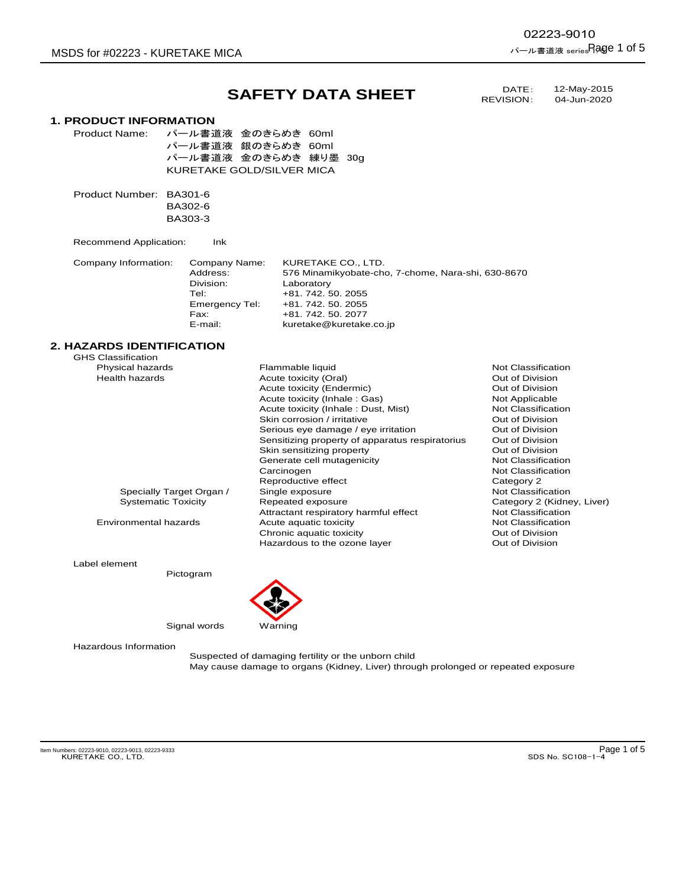## **SAFETY DATA SHEET** DATE: 12-May-2015

#### **1. PRODUCT INFORMATION**

Product Name: パール書道液 金のきらめき 60ml パール書道液 銀のきらめき 60ml パール書道液 金のきらめき 練り墨 30g KURETAKE GOLD/SILVER MICA

Product Number: BA301-6 BA302-6 BA303-3

Recommend Application: Ink

| Company Information: | Company Name:  | KURETAKE CO., LTD.                                 |
|----------------------|----------------|----------------------------------------------------|
|                      | Address:       | 576 Minamikyobate-cho, 7-chome, Nara-shi, 630-8670 |
|                      | Division:      | Laboratory                                         |
|                      | Tel:           | +81, 742, 50, 2055                                 |
|                      | Emergency Tel: | +81, 742, 50, 2055                                 |
|                      | Fax:           | +81, 742, 50, 2077                                 |
|                      | E-mail:        | kuretake@kuretake.co.ip                            |

## **2. HAZARDS IDENTIFICATION**

| <b>GHS Classification</b>  |                                                 |                            |
|----------------------------|-------------------------------------------------|----------------------------|
| Physical hazards           | Flammable liquid                                | Not Classification         |
| <b>Health hazards</b>      | Acute toxicity (Oral)                           | Out of Division            |
|                            | Acute toxicity (Endermic)                       | Out of Division            |
|                            | Acute toxicity (Inhale: Gas)                    | Not Applicable             |
|                            | Acute toxicity (Inhale: Dust, Mist)             | Not Classification         |
|                            | Skin corrosion / irritative                     | Out of Division            |
|                            | Serious eye damage / eye irritation             | Out of Division            |
|                            | Sensitizing property of apparatus respiratorius | Out of Division            |
|                            | Skin sensitizing property                       | Out of Division            |
|                            | Generate cell mutagenicity                      | Not Classification         |
|                            | Carcinogen                                      | Not Classification         |
|                            | Reproductive effect                             | Category 2                 |
| Specially Target Organ /   | Single exposure                                 | Not Classification         |
| <b>Systematic Toxicity</b> | Repeated exposure                               | Category 2 (Kidney, Liver) |
|                            | Attractant respiratory harmful effect           | Not Classification         |
| Environmental hazards      | Acute aquatic toxicity                          | Not Classification         |
|                            | Chronic aquatic toxicity                        | Out of Division            |
|                            | Hazardous to the ozone layer                    | Out of Division            |
|                            |                                                 |                            |

Label element

Pictogram

Signal words Warning

Hazardous Information

Suspected of damaging fertility or the unborn child May cause damage to organs (Kidney, Liver) through prolonged or repeated exposure

DATE: REVISION:

04-Jun-2020

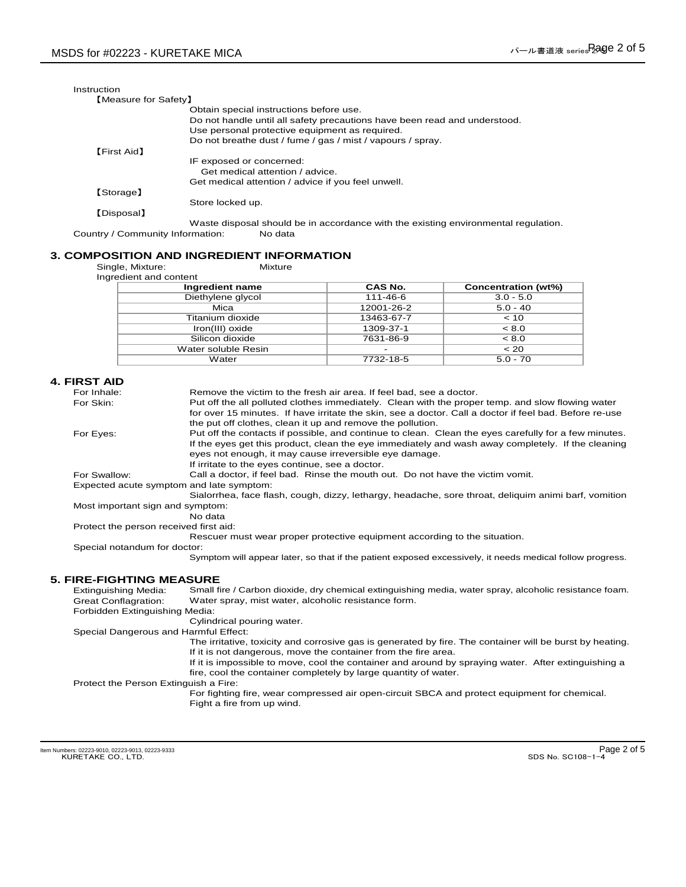| Instruction          |                                                                                    |
|----------------------|------------------------------------------------------------------------------------|
| [Measure for Safety] |                                                                                    |
|                      | Obtain special instructions before use.                                            |
|                      | Do not handle until all safety precautions have been read and understood.          |
|                      | Use personal protective equipment as required.                                     |
|                      | Do not breathe dust / fume / gas / mist / vapours / spray.                         |
| <b>[First Aid]</b>   |                                                                                    |
|                      | IF exposed or concerned:                                                           |
|                      | Get medical attention / advice.                                                    |
|                      | Get medical attention / advice if you feel unwell.                                 |
| [Storage]            |                                                                                    |
|                      | Store locked up.                                                                   |
| [Disposal]           |                                                                                    |
|                      | Waste disposal should be in accordance with the existing environmental regulation. |

Country / Community Information: No data

# **3. COMPOSITION AND INGREDIENT INFORMATION**<br>Single, Mixture: Mixture Mixture

## Single, Mixture: Mixture

| Ingredient and content |                |                     |
|------------------------|----------------|---------------------|
| Ingredient name        | <b>CAS No.</b> | Concentration (wt%) |
| Diethylene glycol      | 111-46-6       | $3.0 - 5.0$         |
| Mica                   | 12001-26-2     | $5.0 - 40$          |
| Titanium dioxide       | 13463-67-7     | < 10                |
| Iron(III) oxide        | 1309-37-1      | < 8.0               |
| Silicon dioxide        | 7631-86-9      | < 8.0               |
| Water soluble Resin    |                | ~120                |
| Water                  | 7732-18-5      | $5.0 - 70$          |

#### **4. FIRST AID**

|                                          | For Inhale:                            | Remove the victim to the fresh air area. If feel bad, see a doctor.                                      |  |
|------------------------------------------|----------------------------------------|----------------------------------------------------------------------------------------------------------|--|
|                                          | For Skin:                              | Put off the all polluted clothes immediately. Clean with the proper temp, and slow flowing water         |  |
|                                          |                                        | for over 15 minutes. If have irritate the skin, see a doctor. Call a doctor if feel bad. Before re-use   |  |
|                                          |                                        | the put off clothes, clean it up and remove the pollution.                                               |  |
|                                          | For Eyes:                              | Put off the contacts if possible, and continue to clean. Clean the eyes carefully for a few minutes.     |  |
|                                          |                                        | If the eyes get this product, clean the eye immediately and wash away completely. If the cleaning        |  |
|                                          |                                        | eyes not enough, it may cause irreversible eye damage.                                                   |  |
|                                          |                                        | If irritate to the eyes continue, see a doctor.                                                          |  |
|                                          | For Swallow:                           | Call a doctor, if feel bad. Rinse the mouth out. Do not have the victim vomit.                           |  |
| Expected acute symptom and late symptom: |                                        |                                                                                                          |  |
|                                          |                                        | Sialorrhea, face flash, cough, dizzy, lethargy, headache, sore throat, deliquim animi barf, vomition     |  |
|                                          | Most important sign and symptom:       |                                                                                                          |  |
|                                          |                                        | No data                                                                                                  |  |
|                                          | Protect the person received first aid: |                                                                                                          |  |
|                                          |                                        | Rescuer must wear proper protective equipment according to the situation.                                |  |
|                                          | Special notandum for doctor:           |                                                                                                          |  |
|                                          |                                        | Symptom will appear later, so that if the patient exposed excessively, it needs medical follow progress. |  |
|                                          | 5. FIRE-FIGHTING MEASURE               |                                                                                                          |  |
|                                          | Extinguishing Media:                   | Small fire / Carbon dioxide, dry chemical extinguishing media, water spray, alcoholic resistance foam.   |  |
|                                          | <b>Great Conflagration:</b>            | Water spray, mist water, alcoholic resistance form.                                                      |  |

#### Great Conflagration:

Forbidden Extinguishing Media:

#### Cylindrical pouring water.

Special Dangerous and Harmful Effect:

The irritative, toxicity and corrosive gas is generated by fire. The container will be burst by heating. If it is not dangerous, move the container from the fire area.

If it is impossible to move, cool the container and around by spraying water. After extinguishing a fire, cool the container completely by large quantity of water.

#### Protect the Person Extinguish a Fire:

For fighting fire, wear compressed air open-circuit SBCA and protect equipment for chemical. Fight a fire from up wind.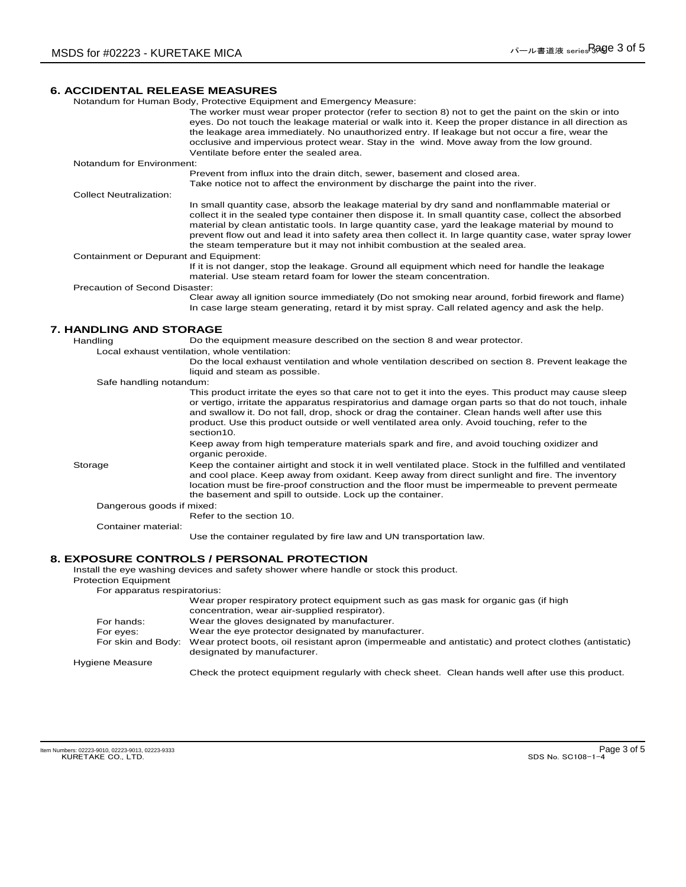#### **6. ACCIDENTAL RELEASE MEASURES**

Notandum for Human Body, Protective Equipment and Emergency Measure:

Notandum for Environment: The worker must wear proper protector (refer to section 8) not to get the paint on the skin or into eyes. Do not touch the leakage material or walk into it. Keep the proper distance in all direction as the leakage area immediately. No unauthorized entry. If leakage but not occur a fire, wear the occlusive and impervious protect wear. Stay in the wind. Move away from the low ground. Ventilate before enter the sealed area.

Collect Neutralization: Containment or Depurant and Equipment: Precaution of Second Disaster: Clear away all ignition source immediately (Do not smoking near around, forbid firework and flame) In case large steam generating, retard it by mist spray. Call related agency and ask the help. Prevent from influx into the drain ditch, sewer, basement and closed area. Take notice not to affect the environment by discharge the paint into the river. In small quantity case, absorb the leakage material by dry sand and nonflammable material or collect it in the sealed type container then dispose it. In small quantity case, collect the absorbed material by clean antistatic tools. In large quantity case, yard the leakage material by mound to prevent flow out and lead it into safety area then collect it. In large quantity case, water spray lower the steam temperature but it may not inhibit combustion at the sealed area. If it is not danger, stop the leakage. Ground all equipment which need for handle the leakage material. Use steam retard foam for lower the steam concentration.

### **7. HANDLING AND STORAGE**

Handling Do the equipment measure described on the section 8 and wear protector.

Local exhaust ventilation, whole ventilation:

| Do the local exhaust ventilation and whole ventilation described on section 8. Prevent leakage the |
|----------------------------------------------------------------------------------------------------|
| liquid and steam as possible.                                                                      |

Safe handling notandum:

| <u>Sarchamamia</u> nolandam. |                                                                                                                                                                                                                                                                                                                                                                                                                                |
|------------------------------|--------------------------------------------------------------------------------------------------------------------------------------------------------------------------------------------------------------------------------------------------------------------------------------------------------------------------------------------------------------------------------------------------------------------------------|
|                              | This product irritate the eyes so that care not to get it into the eyes. This product may cause sleep<br>or vertigo, irritate the apparatus respiratorius and damage organ parts so that do not touch, inhale<br>and swallow it. Do not fall, drop, shock or drag the container. Clean hands well after use this<br>product. Use this product outside or well ventilated area only. Avoid touching, refer to the<br>section10. |
|                              | Keep away from high temperature materials spark and fire, and avoid touching oxidizer and<br>organic peroxide.                                                                                                                                                                                                                                                                                                                 |
| Storage                      | Keep the container airtight and stock it in well ventilated place. Stock in the fulfilled and ventilated<br>and cool place. Keep away from oxidant. Keep away from direct sunlight and fire. The inventory<br>location must be fire-proof construction and the floor must be impermeable to prevent permeate<br>the basement and spill to outside. Lock up the container.                                                      |
| Dangerous goods if mixed:    |                                                                                                                                                                                                                                                                                                                                                                                                                                |
|                              | Refer to the section 10.                                                                                                                                                                                                                                                                                                                                                                                                       |
| Container material:          |                                                                                                                                                                                                                                                                                                                                                                                                                                |
|                              | Use the container regulated by fire law and UN transportation law.                                                                                                                                                                                                                                                                                                                                                             |
|                              |                                                                                                                                                                                                                                                                                                                                                                                                                                |

#### **8. EXPOSURE CONTROLS / PERSONAL PROTECTION**

Install the eye washing devices and safety shower where handle or stock this product. Protection Equipment

For apparatus respiratorius:

|                    | Wear proper respiratory protect equipment such as gas mask for organic gas (if high                                                  |
|--------------------|--------------------------------------------------------------------------------------------------------------------------------------|
|                    | concentration, wear air-supplied respirator).                                                                                        |
| For hands:         | Wear the gloves designated by manufacturer.                                                                                          |
| For eves:          | Wear the eye protector designated by manufacturer.                                                                                   |
| For skin and Body: | Wear protect boots, oil resistant apron (impermeable and antistatic) and protect clothes (antistatic)<br>designated by manufacturer. |
| Hygiene Measure    |                                                                                                                                      |
|                    | Check the protect equipment requiarly with check sheet. Clean hands well after use this product.                                     |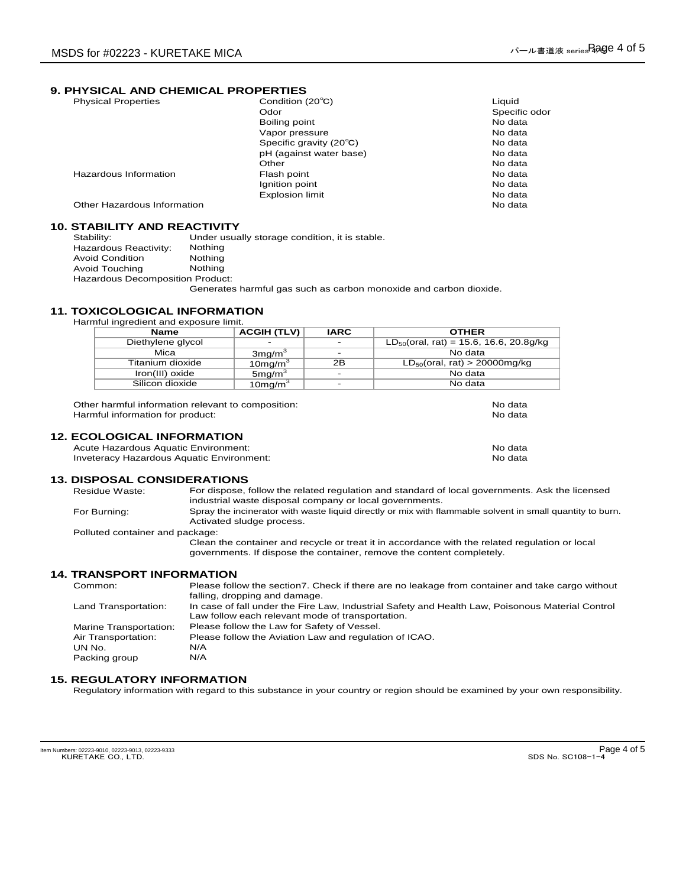#### **9. PHYSICAL AND CHEMICAL PROPERTIES**

| Condition (20°C)<br><b>Physical Properties</b> |                         | Liquid        |
|------------------------------------------------|-------------------------|---------------|
|                                                | Odor                    | Specific odor |
|                                                | Boiling point           | No data       |
|                                                | Vapor pressure          | No data       |
|                                                | Specific gravity (20°C) | No data       |
|                                                | pH (against water base) | No data       |
|                                                | Other                   | No data       |
| Hazardous Information                          | Flash point             | No data       |
|                                                | Ignition point          | No data       |
|                                                | <b>Explosion limit</b>  | No data       |
| Other Hazardous Information                    |                         | No data       |
|                                                |                         |               |

## **10. STABILITY AND REACTIVITY**

| Stability:                              | Under usually storage condition, it is stable.                    |
|-----------------------------------------|-------------------------------------------------------------------|
| Hazardous Reactivity:                   | Nothing                                                           |
| <b>Avoid Condition</b>                  | Nothing                                                           |
| Avoid Touching                          | Nothing                                                           |
| <b>Hazardous Decomposition Product:</b> |                                                                   |
|                                         | Generates harmful gas such as carbon monoxide and carbon dioxide. |
|                                         |                                                                   |

#### **11. TOXICOLOGICAL INFORMATION**

Harmful ingredient and exposure limit.

| <b>Name</b>       | <b>ACGIH (TLV)</b> | <b>IARC</b>              | <b>OTHER</b>                                 |
|-------------------|--------------------|--------------------------|----------------------------------------------|
| Diethylene glycol |                    |                          | $LD_{50}$ (oral, rat) = 15.6, 16.6, 20.8g/kg |
| Mica              | $3$ mg/m $3$       | $\overline{\phantom{0}}$ | No data                                      |
| Titanium dioxide  | $10$ mg/m $3$      | 2B                       | $LD_{50}$ (oral, rat) > 20000mg/kg           |
| Iron(III) oxide   | $5 \text{mq/m}^3$  | $\overline{\phantom{0}}$ | No data                                      |
| Silicon dioxide   | $10$ mg/m $3$      |                          | No data                                      |

| Other harmful information relevant to composition:                                                                            | No data            |
|-------------------------------------------------------------------------------------------------------------------------------|--------------------|
| Harmful information for product:                                                                                              | No data            |
| <b>12. ECOLOGICAL INFORMATION</b><br>Acute Hazardous Aquatic Environment:<br><b>Inveteracy Hazardous Aquatic Environment:</b> | No data<br>No data |

## **13. DISPOSAL CONSIDERATIONS**

| Residue Waste:                  | For dispose, follow the related regulation and standard of local governments. Ask the licensed            |
|---------------------------------|-----------------------------------------------------------------------------------------------------------|
|                                 | industrial waste disposal company or local governments.                                                   |
| For Burning:                    | Spray the incinerator with waste liquid directly or mix with flammable solvent in small quantity to burn. |
|                                 | Activated sludge process.                                                                                 |
| Polluted container and package: |                                                                                                           |
|                                 | Clean the container and recycle or treat it in accordance with the related regulation or local            |
|                                 | governments. If dispose the container, remove the content completely.                                     |
|                                 |                                                                                                           |

## **14. TRANSPORT INFORMATION**

| Common:                | Please follow the section 7. Check if there are no leakage from container and take cargo without<br>falling, dropping and damage.                    |
|------------------------|------------------------------------------------------------------------------------------------------------------------------------------------------|
| Land Transportation:   | In case of fall under the Fire Law, Industrial Safety and Health Law, Poisonous Material Control<br>Law follow each relevant mode of transportation. |
| Marine Transportation: | Please follow the Law for Safety of Vessel.                                                                                                          |
| Air Transportation:    | Please follow the Aviation Law and regulation of ICAO.                                                                                               |
| UN No.                 | N/A                                                                                                                                                  |
| Packing group          | N/A                                                                                                                                                  |

#### **15. REGULATORY INFORMATION**

Regulatory information with regard to this substance in your country or region should be examined by your own responsibility.